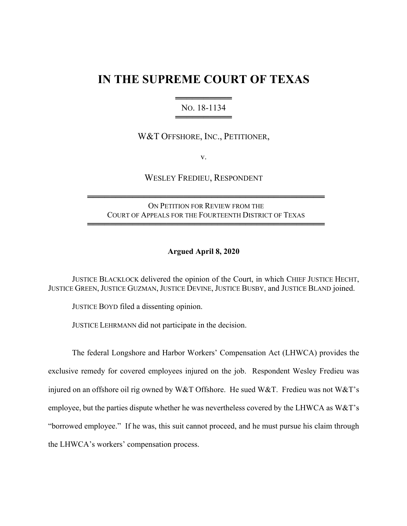# **IN THE SUPREME COURT OF TEXAS**

### ════════════════════════ NO. 18-1134 ════════════════════════

## W&T OFFSHORE, INC., PETITIONER,

v.

WESLEY FREDIEU, RESPONDENT

ON PETITION FOR REVIEW FROM THE COURT OF APPEALS FOR THE FOURTEENTH DISTRICT OF TEXAS

══════════════════════════════════════════

══════════════════════════════════════════

### **Argued April 8, 2020**

JUSTICE BLACKLOCK delivered the opinion of the Court, in which CHIEF JUSTICE HECHT, JUSTICE GREEN, JUSTICE GUZMAN, JUSTICE DEVINE, JUSTICE BUSBY, and JUSTICE BLAND joined.

JUSTICE BOYD filed a dissenting opinion.

JUSTICE LEHRMANN did not participate in the decision.

The federal Longshore and Harbor Workers' Compensation Act (LHWCA) provides the exclusive remedy for covered employees injured on the job. Respondent Wesley Fredieu was injured on an offshore oil rig owned by W&T Offshore. He sued W&T. Fredieu was not W&T's employee, but the parties dispute whether he was nevertheless covered by the LHWCA as W&T's "borrowed employee." If he was, this suit cannot proceed, and he must pursue his claim through the LHWCA's workers' compensation process.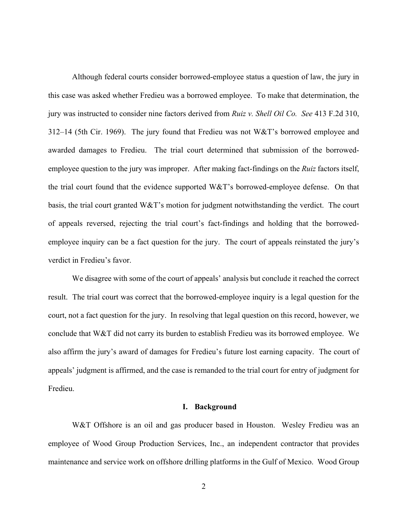Although federal courts consider borrowed-employee status a question of law, the jury in this case was asked whether Fredieu was a borrowed employee. To make that determination, the jury was instructed to consider nine factors derived from *Ruiz v. Shell Oil Co. See* 413 F.2d 310, 312–14 (5th Cir. 1969). The jury found that Fredieu was not W&T's borrowed employee and awarded damages to Fredieu. The trial court determined that submission of the borrowedemployee question to the jury was improper. After making fact-findings on the *Ruiz* factors itself, the trial court found that the evidence supported W&T's borrowed-employee defense. On that basis, the trial court granted W&T's motion for judgment notwithstanding the verdict. The court of appeals reversed, rejecting the trial court's fact-findings and holding that the borrowedemployee inquiry can be a fact question for the jury. The court of appeals reinstated the jury's verdict in Fredieu's favor.

We disagree with some of the court of appeals' analysis but conclude it reached the correct result. The trial court was correct that the borrowed-employee inquiry is a legal question for the court, not a fact question for the jury. In resolving that legal question on this record, however, we conclude that W&T did not carry its burden to establish Fredieu was its borrowed employee. We also affirm the jury's award of damages for Fredieu's future lost earning capacity. The court of appeals' judgment is affirmed, and the case is remanded to the trial court for entry of judgment for Fredieu.

### **I. Background**

W&T Offshore is an oil and gas producer based in Houston. Wesley Fredieu was an employee of Wood Group Production Services, Inc., an independent contractor that provides maintenance and service work on offshore drilling platforms in the Gulf of Mexico. Wood Group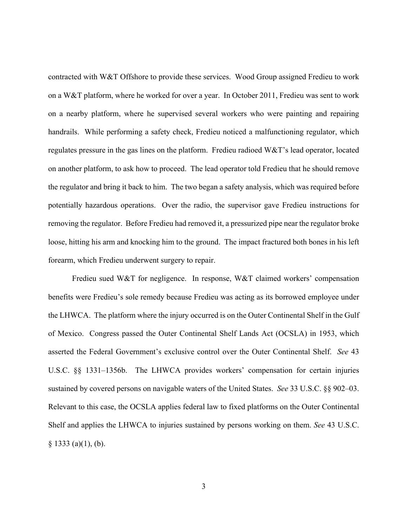contracted with W&T Offshore to provide these services. Wood Group assigned Fredieu to work on a W&T platform, where he worked for over a year. In October 2011, Fredieu was sent to work on a nearby platform, where he supervised several workers who were painting and repairing handrails. While performing a safety check, Fredieu noticed a malfunctioning regulator, which regulates pressure in the gas lines on the platform. Fredieu radioed W&T's lead operator, located on another platform, to ask how to proceed. The lead operator told Fredieu that he should remove the regulator and bring it back to him. The two began a safety analysis, which was required before potentially hazardous operations. Over the radio, the supervisor gave Fredieu instructions for removing the regulator. Before Fredieu had removed it, a pressurized pipe near the regulator broke loose, hitting his arm and knocking him to the ground. The impact fractured both bones in his left forearm, which Fredieu underwent surgery to repair.

Fredieu sued W&T for negligence. In response, W&T claimed workers' compensation benefits were Fredieu's sole remedy because Fredieu was acting as its borrowed employee under the LHWCA. The platform where the injury occurred is on the Outer Continental Shelf in the Gulf of Mexico. Congress passed the Outer Continental Shelf Lands Act (OCSLA) in 1953, which asserted the Federal Government's exclusive control over the Outer Continental Shelf. *See* 43 U.S.C. §§ 1331–1356b. The LHWCA provides workers' compensation for certain injuries sustained by covered persons on navigable waters of the United States. *See* 33 U.S.C. §§ 902–03. Relevant to this case, the OCSLA applies federal law to fixed platforms on the Outer Continental Shelf and applies the LHWCA to injuries sustained by persons working on them. *See* 43 U.S.C.  $§ 1333$  (a)(1), (b).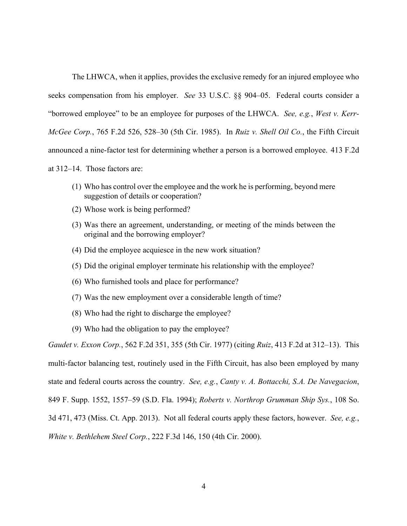The LHWCA, when it applies, provides the exclusive remedy for an injured employee who seeks compensation from his employer. *See* 33 U.S.C. §§ 904–05. Federal courts consider a "borrowed employee" to be an employee for purposes of the LHWCA. *See, e.g.*, *West v. Kerr-McGee Corp.*, 765 F.2d 526, 528–30 (5th Cir. 1985). In *Ruiz v. Shell Oil Co.*, the Fifth Circuit announced a nine-factor test for determining whether a person is a borrowed employee. 413 F.2d

at 312–14. Those factors are:

- (1) Who has control over the employee and the work he is performing, beyond mere suggestion of details or cooperation?
- (2) Whose work is being performed?
- (3) Was there an agreement, understanding, or meeting of the minds between the original and the borrowing employer?
- (4) Did the employee acquiesce in the new work situation?
- (5) Did the original employer terminate his relationship with the employee?
- (6) Who furnished tools and place for performance?
- (7) Was the new employment over a considerable length of time?
- (8) Who had the right to discharge the employee?
- (9) Who had the obligation to pay the employee?

*Gaudet v. Exxon Corp.*, 562 F.2d 351, 355 (5th Cir. 1977) (citing *Ruiz*, 413 F.2d at 312–13). This multi-factor balancing test, routinely used in the Fifth Circuit, has also been employed by many state and federal courts across the country. *See, e.g.*, *Canty v. A. Bottacchi, S.A. De Navegacion*, 849 F. Supp. 1552, 1557–59 (S.D. Fla. 1994); *Roberts v. Northrop Grumman Ship Sys.*, 108 So. 3d 471, 473 (Miss. Ct. App. 2013). Not all federal courts apply these factors, however. *See, e.g.*, *White v. Bethlehem Steel Corp.*, 222 F.3d 146, 150 (4th Cir. 2000).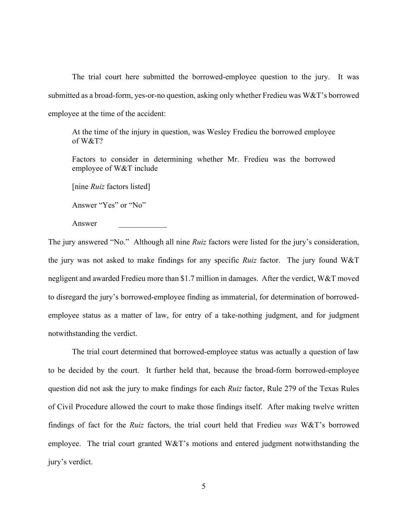The trial court here submitted the borrowed-employee question to the jury. It was submitted as a broad-form, yes-or-no question, asking only whether Fredieu was W&T's borrowed employee at the time of the accident:

At the time of the injury in question, was Wesley Fredieu the borrowed employee of W&T?

Factors to consider in determining whether Mr. Fredieu was the borrowed employee of W&T include

[nine *Ruiz* factors listed]

Answer "Yes" or "No"

Answer \_\_\_\_\_\_\_\_\_\_\_\_

The jury answered "No." Although all nine *Ruiz* factors were listed for the jury's consideration, the jury was not asked to make findings for any specific *Ruiz* factor. The jury found W&T negligent and awarded Fredieu more than \$1.7 million in damages. After the verdict, W&T moved to disregard the jury's borrowed-employee finding as immaterial, for determination of borrowedemployee status as a matter of law, for entry of a take-nothing judgment, and for judgment notwithstanding the verdict.

The trial court determined that borrowed-employee status was actually a question of law to be decided by the court. It further held that, because the broad-form borrowed-employee question did not ask the jury to make findings for each *Ruiz* factor, Rule 279 of the Texas Rules of Civil Procedure allowed the court to make those findings itself. After making twelve written findings of fact for the *Ruiz* factors, the trial court held that Fredieu *was* W&T's borrowed employee. The trial court granted W&T's motions and entered judgment notwithstanding the jury's verdict.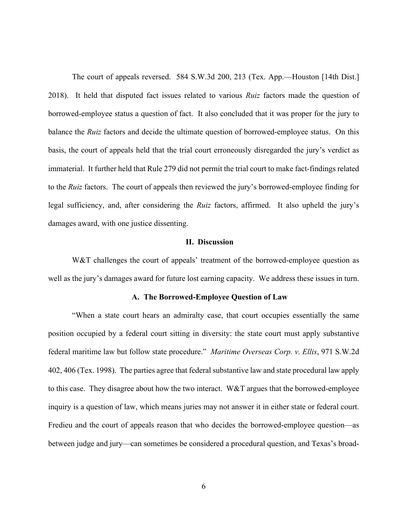The court of appeals reversed. 584 S.W.3d 200, 213 (Tex. App.—Houston [14th Dist.] 2018). It held that disputed fact issues related to various *Ruiz* factors made the question of borrowed-employee status a question of fact. It also concluded that it was proper for the jury to balance the *Ruiz* factors and decide the ultimate question of borrowed-employee status. On this basis, the court of appeals held that the trial court erroneously disregarded the jury's verdict as immaterial. It further held that Rule 279 did not permit the trial court to make fact-findings related to the *Ruiz* factors. The court of appeals then reviewed the jury's borrowed-employee finding for legal sufficiency, and, after considering the *Ruiz* factors, affirmed. It also upheld the jury's damages award, with one justice dissenting.

### **II. Discussion**

W&T challenges the court of appeals' treatment of the borrowed-employee question as well as the jury's damages award for future lost earning capacity. We address these issues in turn.

### **A. The Borrowed-Employee Question of Law**

"When a state court hears an admiralty case, that court occupies essentially the same position occupied by a federal court sitting in diversity: the state court must apply substantive federal maritime law but follow state procedure." *Maritime Overseas Corp. v. Ellis*, 971 S.W.2d 402, 406 (Tex. 1998). The parties agree that federal substantive law and state procedural law apply to this case. They disagree about how the two interact. W&T argues that the borrowed-employee inquiry is a question of law, which means juries may not answer it in either state or federal court. Fredieu and the court of appeals reason that who decides the borrowed-employee question—as between judge and jury—can sometimes be considered a procedural question, and Texas's broad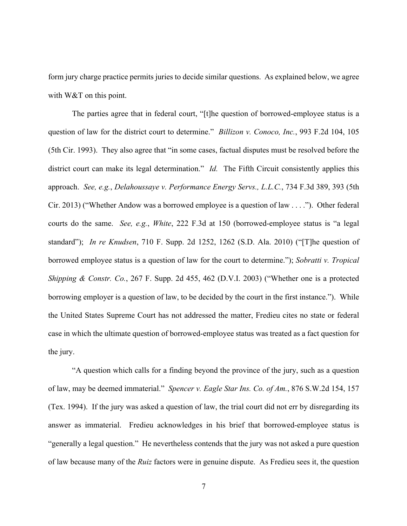form jury charge practice permits juries to decide similar questions. As explained below, we agree with W&T on this point.

The parties agree that in federal court, "[t]he question of borrowed-employee status is a question of law for the district court to determine." *Billizon v. Conoco, Inc.*, 993 F.2d 104, 105 (5th Cir. 1993). They also agree that "in some cases, factual disputes must be resolved before the district court can make its legal determination." *Id.* The Fifth Circuit consistently applies this approach. *See, e.g.*, *Delahoussaye v. Performance Energy Servs., L.L.C.*, 734 F.3d 389, 393 (5th Cir. 2013) ("Whether Andow was a borrowed employee is a question of law . . . ."). Other federal courts do the same. *See, e.g.*, *White*, 222 F.3d at 150 (borrowed-employee status is "a legal standard"); *In re Knudsen*, 710 F. Supp. 2d 1252, 1262 (S.D. Ala. 2010) ("[T]he question of borrowed employee status is a question of law for the court to determine."); *Sobratti v. Tropical Shipping & Constr. Co.*, 267 F. Supp. 2d 455, 462 (D.V.I. 2003) ("Whether one is a protected borrowing employer is a question of law, to be decided by the court in the first instance."). While the United States Supreme Court has not addressed the matter, Fredieu cites no state or federal case in which the ultimate question of borrowed-employee status was treated as a fact question for the jury.

"A question which calls for a finding beyond the province of the jury, such as a question of law, may be deemed immaterial." *Spencer v. Eagle Star Ins. Co. of Am.*, 876 S.W.2d 154, 157 (Tex. 1994). If the jury was asked a question of law, the trial court did not err by disregarding its answer as immaterial. Fredieu acknowledges in his brief that borrowed-employee status is "generally a legal question." He nevertheless contends that the jury was not asked a pure question of law because many of the *Ruiz* factors were in genuine dispute. As Fredieu sees it, the question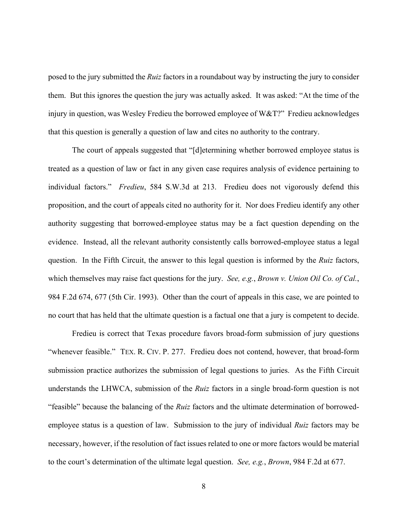posed to the jury submitted the *Ruiz* factors in a roundabout way by instructing the jury to consider them. But this ignores the question the jury was actually asked. It was asked: "At the time of the injury in question, was Wesley Fredieu the borrowed employee of W&T?" Fredieu acknowledges that this question is generally a question of law and cites no authority to the contrary.

The court of appeals suggested that "[d]etermining whether borrowed employee status is treated as a question of law or fact in any given case requires analysis of evidence pertaining to individual factors." *Fredieu*, 584 S.W.3d at 213. Fredieu does not vigorously defend this proposition, and the court of appeals cited no authority for it. Nor does Fredieu identify any other authority suggesting that borrowed-employee status may be a fact question depending on the evidence. Instead, all the relevant authority consistently calls borrowed-employee status a legal question. In the Fifth Circuit, the answer to this legal question is informed by the *Ruiz* factors, which themselves may raise fact questions for the jury. *See, e.g.*, *Brown v. Union Oil Co. of Cal.*, 984 F.2d 674, 677 (5th Cir. 1993).Other than the court of appeals in this case, we are pointed to no court that has held that the ultimate question is a factual one that a jury is competent to decide.

Fredieu is correct that Texas procedure favors broad-form submission of jury questions "whenever feasible." TEX. R. CIV. P. 277. Fredieu does not contend, however, that broad-form submission practice authorizes the submission of legal questions to juries. As the Fifth Circuit understands the LHWCA, submission of the *Ruiz* factors in a single broad-form question is not "feasible" because the balancing of the *Ruiz* factors and the ultimate determination of borrowedemployee status is a question of law. Submission to the jury of individual *Ruiz* factors may be necessary, however, if the resolution of fact issues related to one or more factors would be material to the court's determination of the ultimate legal question. *See, e.g.*, *Brown*, 984 F.2d at 677.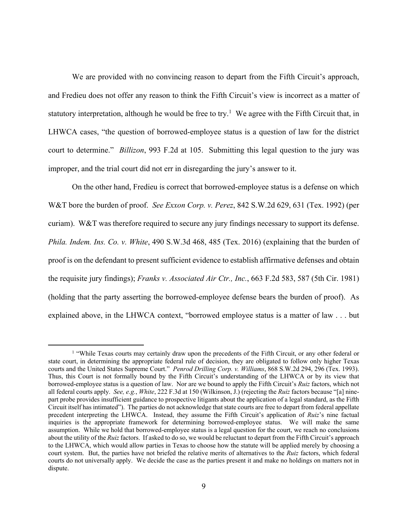We are provided with no convincing reason to depart from the Fifth Circuit's approach, and Fredieu does not offer any reason to think the Fifth Circuit's view is incorrect as a matter of statutory interpretation, although he would be free to try.<sup>1</sup> We agree with the Fifth Circuit that, in LHWCA cases, "the question of borrowed-employee status is a question of law for the district court to determine." *Billizon*, 993 F.2d at 105. Submitting this legal question to the jury was improper, and the trial court did not err in disregarding the jury's answer to it.

On the other hand, Fredieu is correct that borrowed-employee status is a defense on which W&T bore the burden of proof. *See Exxon Corp. v. Perez*, 842 S.W.2d 629, 631 (Tex. 1992) (per curiam). W&T was therefore required to secure any jury findings necessary to support its defense. *Phila. Indem. Ins. Co. v. White*, 490 S.W.3d 468, 485 (Tex. 2016) (explaining that the burden of proof is on the defendant to present sufficient evidence to establish affirmative defenses and obtain the requisite jury findings); *Franks v. Associated Air Ctr., Inc.*, 663 F.2d 583, 587 (5th Cir. 1981) (holding that the party asserting the borrowed-employee defense bears the burden of proof). As explained above, in the LHWCA context, "borrowed employee status is a matter of law . . . but

<sup>&</sup>lt;sup>1</sup> "While Texas courts may certainly draw upon the precedents of the Fifth Circuit, or any other federal or state court, in determining the appropriate federal rule of decision, they are obligated to follow only higher Texas courts and the United States Supreme Court." *Penrod Drilling Corp. v. Williams*, 868 S.W.2d 294, 296 (Tex. 1993). Thus, this Court is not formally bound by the Fifth Circuit's understanding of the LHWCA or by its view that borrowed-employee status is a question of law. Nor are we bound to apply the Fifth Circuit's *Ruiz* factors, which not all federal courts apply. *See, e.g.*, *White*, 222 F.3d at 150 (Wilkinson, J.) (rejecting the *Ruiz* factors because "[a] ninepart probe provides insufficient guidance to prospective litigants about the application of a legal standard, as the Fifth Circuit itself has intimated"). The parties do not acknowledge that state courts are free to depart from federal appellate precedent interpreting the LHWCA. Instead, they assume the Fifth Circuit's application of *Ruiz*'s nine factual inquiries is the appropriate framework for determining borrowed-employee status. We will make the same assumption. While we hold that borrowed-employee status is a legal question for the court, we reach no conclusions about the utility of the *Ruiz* factors. If asked to do so, we would be reluctant to depart from the Fifth Circuit's approach to the LHWCA, which would allow parties in Texas to choose how the statute will be applied merely by choosing a court system. But, the parties have not briefed the relative merits of alternatives to the *Ruiz* factors, which federal courts do not universally apply. We decide the case as the parties present it and make no holdings on matters not in dispute.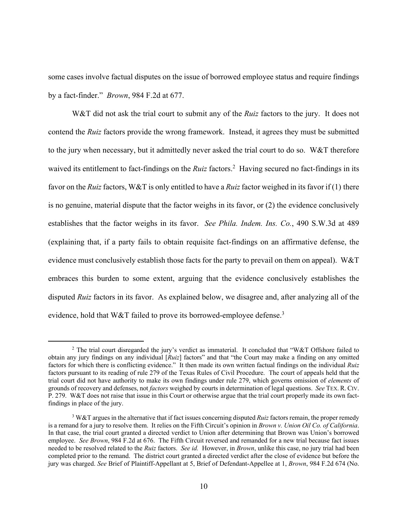some cases involve factual disputes on the issue of borrowed employee status and require findings by a fact-finder." *Brown*, 984 F.2d at 677.

W&T did not ask the trial court to submit any of the *Ruiz* factors to the jury. It does not contend the *Ruiz* factors provide the wrong framework. Instead, it agrees they must be submitted to the jury when necessary, but it admittedly never asked the trial court to do so. W&T therefore waived its entitlement to fact-findings on the *Ruiz* factors.<sup>2</sup> Having secured no fact-findings in its favor on the *Ruiz*factors, W&T is only entitled to have a *Ruiz* factor weighed in its favor if (1) there is no genuine, material dispute that the factor weighs in its favor, or (2) the evidence conclusively establishes that the factor weighs in its favor. *See Phila. Indem. Ins. Co.*, 490 S.W.3d at 489 (explaining that, if a party fails to obtain requisite fact-findings on an affirmative defense, the evidence must conclusively establish those facts for the party to prevail on them on appeal). W&T embraces this burden to some extent, arguing that the evidence conclusively establishes the disputed *Ruiz* factors in its favor. As explained below, we disagree and, after analyzing all of the evidence, hold that W&T failed to prove its borrowed-employee defense.<sup>3</sup>

<sup>&</sup>lt;sup>2</sup> The trial court disregarded the jury's verdict as immaterial. It concluded that "W&T Offshore failed to obtain any jury findings on any individual [*Ruiz*] factors" and that "the Court may make a finding on any omitted factors for which there is conflicting evidence." It then made its own written factual findings on the individual *Ruiz* factors pursuant to its reading of rule 279 of the Texas Rules of Civil Procedure. The court of appeals held that the trial court did not have authority to make its own findings under rule 279, which governs omission of *elements* of grounds of recovery and defenses, not *factors* weighed by courts in determination of legal questions. *See* TEX. R. CIV. P. 279. W&T does not raise that issue in this Court or otherwise argue that the trial court properly made its own factfindings in place of the jury.

<sup>3</sup> W&T argues in the alternative that if fact issues concerning disputed *Ruiz* factors remain, the proper remedy is a remand for a jury to resolve them. It relies on the Fifth Circuit's opinion in *Brown v. Union Oil Co. of California*. In that case, the trial court granted a directed verdict to Union after determining that Brown was Union's borrowed employee. *See Brown*, 984 F.2d at 676. The Fifth Circuit reversed and remanded for a new trial because fact issues needed to be resolved related to the *Ruiz* factors. *See id.* However, in *Brown*, unlike this case, no jury trial had been completed prior to the remand. The district court granted a directed verdict after the close of evidence but before the jury was charged. *See* Brief of Plaintiff-Appellant at 5, Brief of Defendant-Appellee at 1, *Brown*, 984 F.2d 674 (No.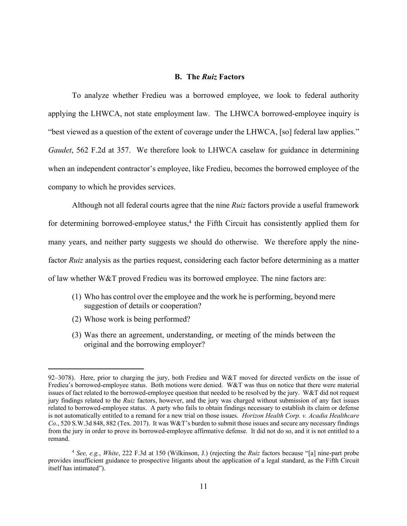### **B. The** *Ruiz* **Factors**

To analyze whether Fredieu was a borrowed employee, we look to federal authority applying the LHWCA, not state employment law. The LHWCA borrowed-employee inquiry is "best viewed as a question of the extent of coverage under the LHWCA, [so] federal law applies." *Gaudet*, 562 F.2d at 357. We therefore look to LHWCA caselaw for guidance in determining when an independent contractor's employee, like Fredieu, becomes the borrowed employee of the company to which he provides services.

Although not all federal courts agree that the nine *Ruiz* factors provide a useful framework for determining borrowed-employee status,<sup>4</sup> the Fifth Circuit has consistently applied them for many years, and neither party suggests we should do otherwise. We therefore apply the ninefactor *Ruiz* analysis as the parties request, considering each factor before determining as a matter of law whether W&T proved Fredieu was its borrowed employee. The nine factors are:

- (1) Who has control over the employee and the work he is performing, beyond mere suggestion of details or cooperation?
- (2) Whose work is being performed?
- (3) Was there an agreement, understanding, or meeting of the minds between the original and the borrowing employer?

<sup>92–3078).</sup> Here, prior to charging the jury, both Fredieu and W&T moved for directed verdicts on the issue of Fredieu's borrowed-employee status. Both motions were denied. W&T was thus on notice that there were material issues of fact related to the borrowed-employee question that needed to be resolved by the jury. W&T did not request jury findings related to the *Ruiz* factors, however, and the jury was charged without submission of any fact issues related to borrowed-employee status. A party who fails to obtain findings necessary to establish its claim or defense is not automatically entitled to a remand for a new trial on those issues. *Horizon Health Corp. v. Acadia Healthcare Co.*, 520 S.W.3d 848, 882 (Tex. 2017). It was W&T's burden to submit those issues and secure any necessary findings from the jury in order to prove its borrowed-employee affirmative defense. It did not do so, and it is not entitled to a remand.

<sup>4</sup> *See, e.g.*, *White*, 222 F.3d at 150 (Wilkinson, J.) (rejecting the *Ruiz* factors because "[a] nine-part probe provides insufficient guidance to prospective litigants about the application of a legal standard, as the Fifth Circuit itself has intimated").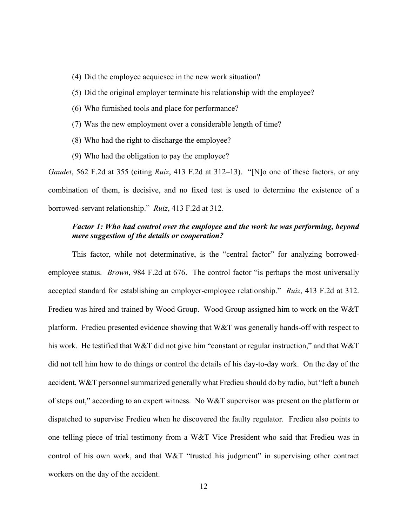- (4) Did the employee acquiesce in the new work situation?
- (5) Did the original employer terminate his relationship with the employee?
- (6) Who furnished tools and place for performance?
- (7) Was the new employment over a considerable length of time?
- (8) Who had the right to discharge the employee?
- (9) Who had the obligation to pay the employee?

*Gaudet*, 562 F.2d at 355 (citing *Ruiz*, 413 F.2d at 312–13). "[N]o one of these factors, or any combination of them, is decisive, and no fixed test is used to determine the existence of a borrowed-servant relationship." *Ruiz*, 413 F.2d at 312.

### *Factor 1: Who had control over the employee and the work he was performing, beyond mere suggestion of the details or cooperation?*

This factor, while not determinative, is the "central factor" for analyzing borrowedemployee status. *Brown*, 984 F.2d at 676. The control factor "is perhaps the most universally accepted standard for establishing an employer-employee relationship." *Ruiz*, 413 F.2d at 312. Fredieu was hired and trained by Wood Group. Wood Group assigned him to work on the W&T platform. Fredieu presented evidence showing that W&T was generally hands-off with respect to his work. He testified that W&T did not give him "constant or regular instruction," and that W&T did not tell him how to do things or control the details of his day-to-day work. On the day of the accident, W&T personnel summarized generally what Fredieu should do by radio, but "left a bunch of steps out," according to an expert witness. No W&T supervisor was present on the platform or dispatched to supervise Fredieu when he discovered the faulty regulator. Fredieu also points to one telling piece of trial testimony from a W&T Vice President who said that Fredieu was in control of his own work, and that W&T "trusted his judgment" in supervising other contract workers on the day of the accident.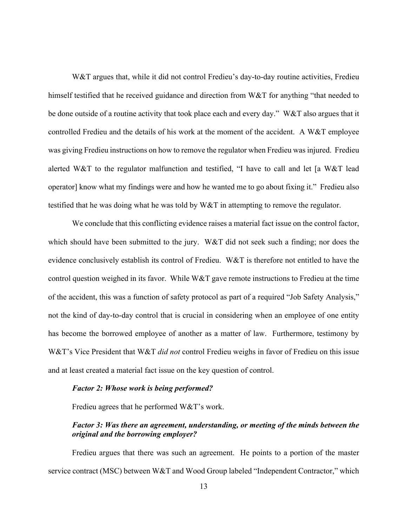W&T argues that, while it did not control Fredieu's day-to-day routine activities, Fredieu himself testified that he received guidance and direction from W&T for anything "that needed to be done outside of a routine activity that took place each and every day." W&T also argues that it controlled Fredieu and the details of his work at the moment of the accident. A W&T employee was giving Fredieu instructions on how to remove the regulator when Fredieu was injured. Fredieu alerted W&T to the regulator malfunction and testified, "I have to call and let [a W&T lead operator] know what my findings were and how he wanted me to go about fixing it." Fredieu also testified that he was doing what he was told by W&T in attempting to remove the regulator.

We conclude that this conflicting evidence raises a material fact issue on the control factor, which should have been submitted to the jury. W&T did not seek such a finding; nor does the evidence conclusively establish its control of Fredieu. W&T is therefore not entitled to have the control question weighed in its favor. While W&T gave remote instructions to Fredieu at the time of the accident, this was a function of safety protocol as part of a required "Job Safety Analysis," not the kind of day-to-day control that is crucial in considering when an employee of one entity has become the borrowed employee of another as a matter of law. Furthermore, testimony by W&T's Vice President that W&T *did not* control Fredieu weighs in favor of Fredieu on this issue and at least created a material fact issue on the key question of control.

### *Factor 2: Whose work is being performed?*

Fredieu agrees that he performed W&T's work.

### *Factor 3: Was there an agreement, understanding, or meeting of the minds between the original and the borrowing employer?*

Fredieu argues that there was such an agreement. He points to a portion of the master service contract (MSC) between W&T and Wood Group labeled "Independent Contractor," which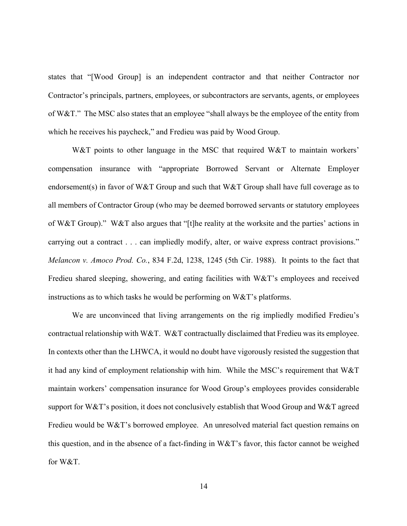states that "[Wood Group] is an independent contractor and that neither Contractor nor Contractor's principals, partners, employees, or subcontractors are servants, agents, or employees of W&T." The MSC also states that an employee "shall always be the employee of the entity from which he receives his paycheck," and Fredieu was paid by Wood Group.

W&T points to other language in the MSC that required W&T to maintain workers' compensation insurance with "appropriate Borrowed Servant or Alternate Employer endorsement(s) in favor of W&T Group and such that W&T Group shall have full coverage as to all members of Contractor Group (who may be deemed borrowed servants or statutory employees of W&T Group)." W&T also argues that "[t]he reality at the worksite and the parties' actions in carrying out a contract . . . can impliedly modify, alter, or waive express contract provisions." *Melancon v. Amoco Prod. Co.*, 834 F.2d, 1238, 1245 (5th Cir. 1988). It points to the fact that Fredieu shared sleeping, showering, and eating facilities with W&T's employees and received instructions as to which tasks he would be performing on W&T's platforms.

We are unconvinced that living arrangements on the rig impliedly modified Fredieu's contractual relationship with W&T. W&T contractually disclaimed that Fredieu was its employee. In contexts other than the LHWCA, it would no doubt have vigorously resisted the suggestion that it had any kind of employment relationship with him. While the MSC's requirement that W&T maintain workers' compensation insurance for Wood Group's employees provides considerable support for W&T's position, it does not conclusively establish that Wood Group and W&T agreed Fredieu would be W&T's borrowed employee. An unresolved material fact question remains on this question, and in the absence of a fact-finding in  $W\&T$ 's favor, this factor cannot be weighed for W&T.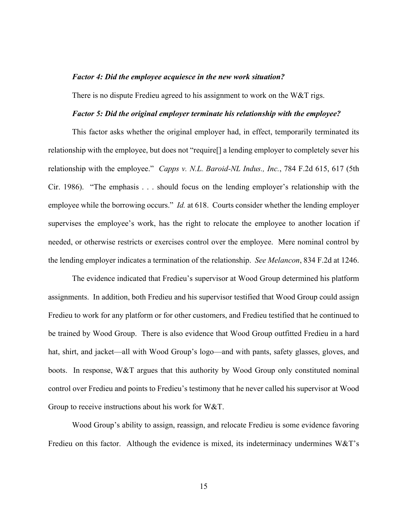### *Factor 4: Did the employee acquiesce in the new work situation?*

There is no dispute Fredieu agreed to his assignment to work on the W&T rigs.

#### *Factor 5: Did the original employer terminate his relationship with the employee?*

This factor asks whether the original employer had, in effect, temporarily terminated its relationship with the employee, but does not "require[] a lending employer to completely sever his relationship with the employee." *Capps v. N.L. Baroid-NL Indus., Inc.*, 784 F.2d 615, 617 (5th Cir. 1986). "The emphasis . . . should focus on the lending employer's relationship with the employee while the borrowing occurs." *Id.* at 618. Courts consider whether the lending employer supervises the employee's work, has the right to relocate the employee to another location if needed, or otherwise restricts or exercises control over the employee. Mere nominal control by the lending employer indicates a termination of the relationship. *See Melancon*, 834 F.2d at 1246.

The evidence indicated that Fredieu's supervisor at Wood Group determined his platform assignments. In addition, both Fredieu and his supervisor testified that Wood Group could assign Fredieu to work for any platform or for other customers, and Fredieu testified that he continued to be trained by Wood Group. There is also evidence that Wood Group outfitted Fredieu in a hard hat, shirt, and jacket—all with Wood Group's logo—and with pants, safety glasses, gloves, and boots. In response, W&T argues that this authority by Wood Group only constituted nominal control over Fredieu and points to Fredieu's testimony that he never called his supervisor at Wood Group to receive instructions about his work for W&T.

Wood Group's ability to assign, reassign, and relocate Fredieu is some evidence favoring Fredieu on this factor. Although the evidence is mixed, its indeterminacy undermines W&T's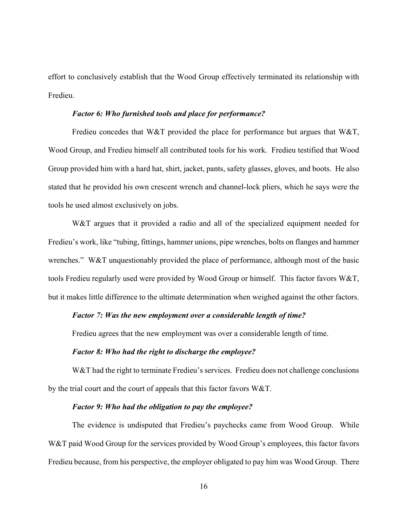effort to conclusively establish that the Wood Group effectively terminated its relationship with Fredieu.

### *Factor 6: Who furnished tools and place for performance?*

Fredieu concedes that W&T provided the place for performance but argues that W&T, Wood Group, and Fredieu himself all contributed tools for his work. Fredieu testified that Wood Group provided him with a hard hat, shirt, jacket, pants, safety glasses, gloves, and boots. He also stated that he provided his own crescent wrench and channel-lock pliers, which he says were the tools he used almost exclusively on jobs.

W&T argues that it provided a radio and all of the specialized equipment needed for Fredieu's work, like "tubing, fittings, hammer unions, pipe wrenches, bolts on flanges and hammer wrenches." W&T unquestionably provided the place of performance, although most of the basic tools Fredieu regularly used were provided by Wood Group or himself. This factor favors W&T, but it makes little difference to the ultimate determination when weighed against the other factors.

### *Factor 7: Was the new employment over a considerable length of time?*

Fredieu agrees that the new employment was over a considerable length of time.

### *Factor 8: Who had the right to discharge the employee?*

W&T had the right to terminate Fredieu's services. Fredieu does not challenge conclusions by the trial court and the court of appeals that this factor favors W&T.

### *Factor 9: Who had the obligation to pay the employee?*

The evidence is undisputed that Fredieu's paychecks came from Wood Group. While W&T paid Wood Group for the services provided by Wood Group's employees, this factor favors Fredieu because, from his perspective, the employer obligated to pay him was Wood Group. There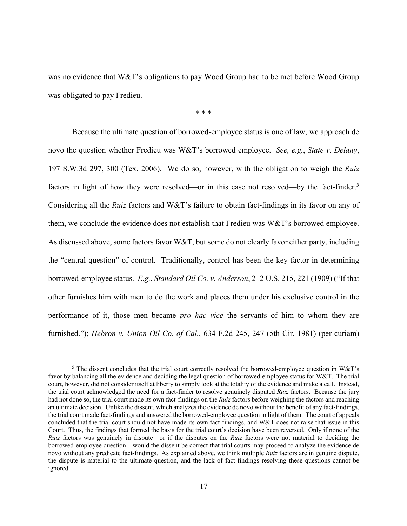was no evidence that W&T's obligations to pay Wood Group had to be met before Wood Group was obligated to pay Fredieu.

\* \* \*

Because the ultimate question of borrowed-employee status is one of law, we approach de novo the question whether Fredieu was W&T's borrowed employee. *See, e.g.*, *State v. Delany*, 197 S.W.3d 297, 300 (Tex. 2006). We do so, however, with the obligation to weigh the *Ruiz* factors in light of how they were resolved—or in this case not resolved—by the fact-finder.<sup>5</sup> Considering all the *Ruiz* factors and W&T's failure to obtain fact-findings in its favor on any of them, we conclude the evidence does not establish that Fredieu was W&T's borrowed employee. As discussed above, some factors favor W&T, but some do not clearly favor either party, including the "central question" of control. Traditionally, control has been the key factor in determining borrowed-employee status. *E.g.*, *Standard Oil Co. v. Anderson*, 212 U.S. 215, 221 (1909) ("If that other furnishes him with men to do the work and places them under his exclusive control in the performance of it, those men became *pro hac vice* the servants of him to whom they are furnished."); *Hebron v. Union Oil Co. of Cal.*, 634 F.2d 245, 247 (5th Cir. 1981) (per curiam)

<sup>&</sup>lt;sup>5</sup> The dissent concludes that the trial court correctly resolved the borrowed-employee question in W&T's favor by balancing all the evidence and deciding the legal question of borrowed-employee status for W&T. The trial court, however, did not consider itself at liberty to simply look at the totality of the evidence and make a call. Instead, the trial court acknowledged the need for a fact-finder to resolve genuinely disputed *Ruiz* factors. Because the jury had not done so, the trial court made its own fact-findings on the *Ruiz* factors before weighing the factors and reaching an ultimate decision. Unlike the dissent, which analyzes the evidence de novo without the benefit of any fact-findings, the trial court made fact-findings and answered the borrowed-employee question in light of them. The court of appeals concluded that the trial court should not have made its own fact-findings, and W&T does not raise that issue in this Court. Thus, the findings that formed the basis for the trial court's decision have been reversed. Only if none of the *Ruiz* factors was genuinely in dispute—or if the disputes on the *Ruiz* factors were not material to deciding the borrowed-employee question—would the dissent be correct that trial courts may proceed to analyze the evidence de novo without any predicate fact-findings. As explained above, we think multiple *Ruiz* factors are in genuine dispute, the dispute is material to the ultimate question, and the lack of fact-findings resolving these questions cannot be ignored.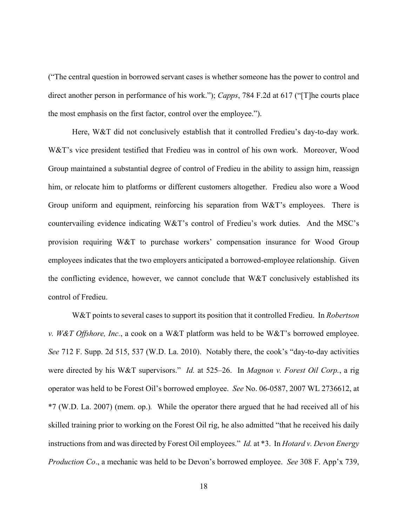("The central question in borrowed servant cases is whether someone has the power to control and direct another person in performance of his work."); *Capps*, 784 F.2d at 617 ("[T]he courts place the most emphasis on the first factor, control over the employee.").

Here, W&T did not conclusively establish that it controlled Fredieu's day-to-day work. W&T's vice president testified that Fredieu was in control of his own work. Moreover, Wood Group maintained a substantial degree of control of Fredieu in the ability to assign him, reassign him, or relocate him to platforms or different customers altogether. Fredieu also wore a Wood Group uniform and equipment, reinforcing his separation from W&T's employees. There is countervailing evidence indicating W&T's control of Fredieu's work duties. And the MSC's provision requiring W&T to purchase workers' compensation insurance for Wood Group employees indicates that the two employers anticipated a borrowed-employee relationship. Given the conflicting evidence, however, we cannot conclude that W&T conclusively established its control of Fredieu.

W&T points to several cases to support its position that it controlled Fredieu. In *Robertson v. W&T Offshore, Inc.*, a cook on a W&T platform was held to be W&T's borrowed employee. *See* 712 F. Supp. 2d 515, 537 (W.D. La. 2010). Notably there, the cook's "day-to-day activities were directed by his W&T supervisors." *Id.* at 525–26. In *Magnon v. Forest Oil Corp.*, a rig operator was held to be Forest Oil's borrowed employee. *See* No. 06-0587, 2007 WL 2736612, at \*7 (W.D. La. 2007) (mem. op.)*.* While the operator there argued that he had received all of his skilled training prior to working on the Forest Oil rig, he also admitted "that he received his daily instructions from and was directed by Forest Oil employees." *Id.* at \*3.In *Hotard v. Devon Energy Production Co*., a mechanic was held to be Devon's borrowed employee. *See* 308 F. App'x 739,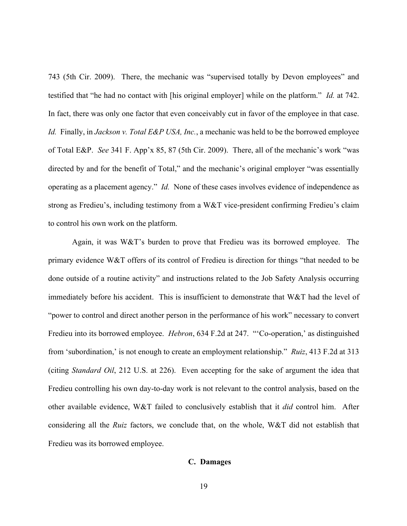743 (5th Cir. 2009). There, the mechanic was "supervised totally by Devon employees" and testified that "he had no contact with [his original employer] while on the platform." *Id.* at 742. In fact, there was only one factor that even conceivably cut in favor of the employee in that case. *Id.* Finally, in *Jackson v. Total E&P USA, Inc.*, a mechanic was held to be the borrowed employee of Total E&P. *See* 341 F. App'x 85, 87 (5th Cir. 2009). There, all of the mechanic's work "was directed by and for the benefit of Total," and the mechanic's original employer "was essentially operating as a placement agency." *Id.* None of these cases involves evidence of independence as strong as Fredieu's, including testimony from a W&T vice-president confirming Fredieu's claim to control his own work on the platform.

Again, it was W&T's burden to prove that Fredieu was its borrowed employee. The primary evidence W&T offers of its control of Fredieu is direction for things "that needed to be done outside of a routine activity" and instructions related to the Job Safety Analysis occurring immediately before his accident. This is insufficient to demonstrate that W&T had the level of "power to control and direct another person in the performance of his work" necessary to convert Fredieu into its borrowed employee. *Hebron*, 634 F.2d at 247. "'Co-operation,' as distinguished from 'subordination,' is not enough to create an employment relationship." *Ruiz*, 413 F.2d at 313 (citing *Standard Oil*, 212 U.S. at 226). Even accepting for the sake of argument the idea that Fredieu controlling his own day-to-day work is not relevant to the control analysis, based on the other available evidence, W&T failed to conclusively establish that it *did* control him.After considering all the *Ruiz* factors, we conclude that, on the whole, W&T did not establish that Fredieu was its borrowed employee.

### **C. Damages**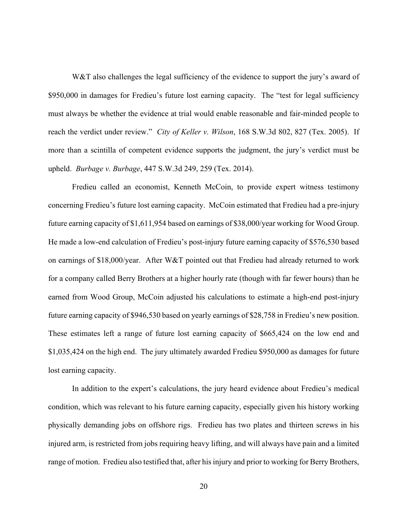W&T also challenges the legal sufficiency of the evidence to support the jury's award of \$950,000 in damages for Fredieu's future lost earning capacity. The "test for legal sufficiency must always be whether the evidence at trial would enable reasonable and fair-minded people to reach the verdict under review." *City of Keller v. Wilson*, 168 S.W.3d 802, 827 (Tex. 2005). If more than a scintilla of competent evidence supports the judgment, the jury's verdict must be upheld. *Burbage v. Burbage*, 447 S.W.3d 249, 259 (Tex. 2014).

Fredieu called an economist, Kenneth McCoin, to provide expert witness testimony concerning Fredieu's future lost earning capacity. McCoin estimated that Fredieu had a pre-injury future earning capacity of \$1,611,954 based on earnings of \$38,000/year working for Wood Group. He made a low-end calculation of Fredieu's post-injury future earning capacity of \$576,530 based on earnings of \$18,000/year. After W&T pointed out that Fredieu had already returned to work for a company called Berry Brothers at a higher hourly rate (though with far fewer hours) than he earned from Wood Group, McCoin adjusted his calculations to estimate a high-end post-injury future earning capacity of \$946,530 based on yearly earnings of \$28,758 in Fredieu's new position. These estimates left a range of future lost earning capacity of \$665,424 on the low end and \$1,035,424 on the high end. The jury ultimately awarded Fredieu \$950,000 as damages for future lost earning capacity.

In addition to the expert's calculations, the jury heard evidence about Fredieu's medical condition, which was relevant to his future earning capacity, especially given his history working physically demanding jobs on offshore rigs. Fredieu has two plates and thirteen screws in his injured arm, is restricted from jobs requiring heavy lifting, and will always have pain and a limited range of motion. Fredieu also testified that, after his injury and prior to working for Berry Brothers,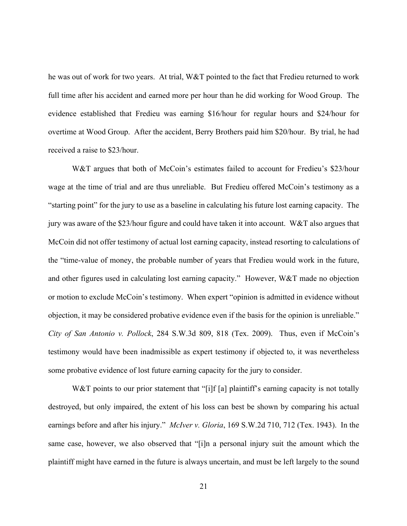he was out of work for two years. At trial, W&T pointed to the fact that Fredieu returned to work full time after his accident and earned more per hour than he did working for Wood Group. The evidence established that Fredieu was earning \$16/hour for regular hours and \$24/hour for overtime at Wood Group. After the accident, Berry Brothers paid him \$20/hour. By trial, he had received a raise to \$23/hour.

W&T argues that both of McCoin's estimates failed to account for Fredieu's \$23/hour wage at the time of trial and are thus unreliable. But Fredieu offered McCoin's testimony as a "starting point" for the jury to use as a baseline in calculating his future lost earning capacity. The jury was aware of the \$23/hour figure and could have taken it into account. W&T also argues that McCoin did not offer testimony of actual lost earning capacity, instead resorting to calculations of the "time-value of money, the probable number of years that Fredieu would work in the future, and other figures used in calculating lost earning capacity." However, W&T made no objection or motion to exclude McCoin's testimony. When expert "opinion is admitted in evidence without objection, it may be considered probative evidence even if the basis for the opinion is unreliable." *City of San Antonio v. Pollock*, 284 S.W.3d 809, 818 (Tex. 2009). Thus, even if McCoin's testimony would have been inadmissible as expert testimony if objected to, it was nevertheless some probative evidence of lost future earning capacity for the jury to consider.

W&T points to our prior statement that "[i]f [a] plaintiff's earning capacity is not totally destroyed, but only impaired, the extent of his loss can best be shown by comparing his actual earnings before and after his injury." *McIver v. Gloria*, 169 S.W.2d 710, 712 (Tex. 1943). In the same case, however, we also observed that "[i]n a personal injury suit the amount which the plaintiff might have earned in the future is always uncertain, and must be left largely to the sound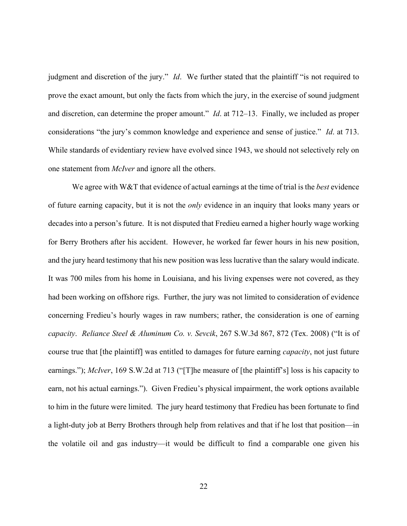judgment and discretion of the jury." *Id*. We further stated that the plaintiff "is not required to prove the exact amount, but only the facts from which the jury, in the exercise of sound judgment and discretion, can determine the proper amount." *Id*. at 712–13. Finally, we included as proper considerations "the jury's common knowledge and experience and sense of justice." *Id*. at 713. While standards of evidentiary review have evolved since 1943, we should not selectively rely on one statement from *McIver* and ignore all the others.

We agree with W&T that evidence of actual earnings at the time of trial is the *best* evidence of future earning capacity, but it is not the *only* evidence in an inquiry that looks many years or decades into a person's future. It is not disputed that Fredieu earned a higher hourly wage working for Berry Brothers after his accident. However, he worked far fewer hours in his new position, and the jury heard testimony that his new position was less lucrative than the salary would indicate. It was 700 miles from his home in Louisiana, and his living expenses were not covered, as they had been working on offshore rigs. Further, the jury was not limited to consideration of evidence concerning Fredieu's hourly wages in raw numbers; rather, the consideration is one of earning *capacity*. *Reliance Steel & Aluminum Co. v. Sevcik*, 267 S.W.3d 867, 872 (Tex. 2008) ("It is of course true that [the plaintiff] was entitled to damages for future earning *capacity*, not just future earnings."); *McIver*, 169 S.W.2d at 713 ("[T]he measure of [the plaintiff's] loss is his capacity to earn, not his actual earnings."). Given Fredieu's physical impairment, the work options available to him in the future were limited. The jury heard testimony that Fredieu has been fortunate to find a light-duty job at Berry Brothers through help from relatives and that if he lost that position—in the volatile oil and gas industry—it would be difficult to find a comparable one given his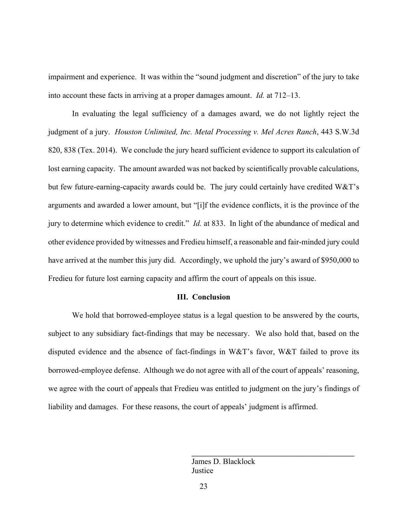impairment and experience. It was within the "sound judgment and discretion" of the jury to take into account these facts in arriving at a proper damages amount. *Id.* at 712–13.

In evaluating the legal sufficiency of a damages award, we do not lightly reject the judgment of a jury. *Houston Unlimited, Inc. Metal Processing v. Mel Acres Ranch*, 443 S.W.3d 820, 838 (Tex. 2014). We conclude the jury heard sufficient evidence to support its calculation of lost earning capacity. The amount awarded was not backed by scientifically provable calculations, but few future-earning-capacity awards could be. The jury could certainly have credited W&T's arguments and awarded a lower amount, but "[i]f the evidence conflicts, it is the province of the jury to determine which evidence to credit." *Id.* at 833. In light of the abundance of medical and other evidence provided by witnesses and Fredieu himself, a reasonable and fair-minded jury could have arrived at the number this jury did. Accordingly, we uphold the jury's award of \$950,000 to Fredieu for future lost earning capacity and affirm the court of appeals on this issue.

### **III. Conclusion**

We hold that borrowed-employee status is a legal question to be answered by the courts, subject to any subsidiary fact-findings that may be necessary. We also hold that, based on the disputed evidence and the absence of fact-findings in W&T's favor, W&T failed to prove its borrowed-employee defense. Although we do not agree with all of the court of appeals' reasoning, we agree with the court of appeals that Fredieu was entitled to judgment on the jury's findings of liability and damages. For these reasons, the court of appeals' judgment is affirmed.

> James D. Blacklock **Justice**

\_\_\_\_\_\_\_\_\_\_\_\_\_\_\_\_\_\_\_\_\_\_\_\_\_\_\_\_\_\_\_\_\_\_